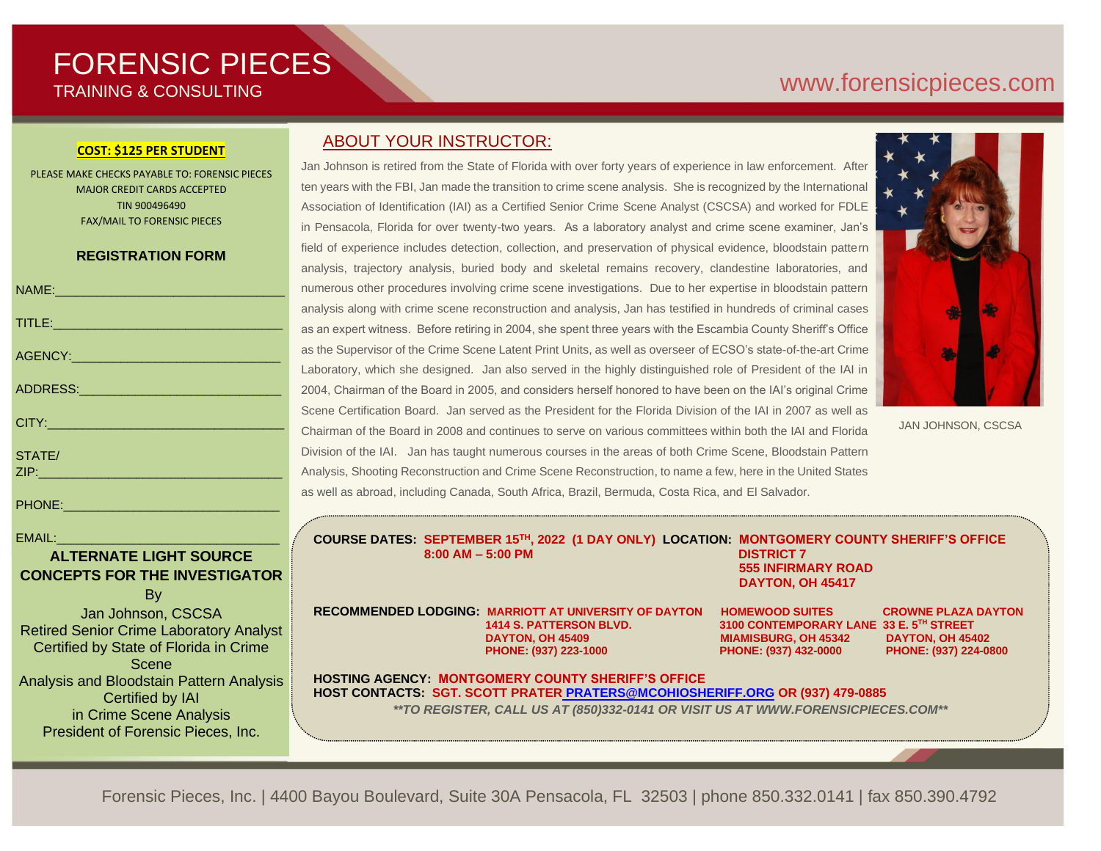# FORENSIC PIECES TRAINING & CONSULTING

# [www.forensicp](http://www.forensic/)ieces.com

#### **COST: \$125 PER STUDENT**

PLEASE MAKE CHECKS PAYABLE TO: FORENSIC PIECES MAJOR CREDIT CARDS ACCEPTED TIN 900496490 FAX/MAIL TO FORENSIC PIECES

### **REGISTRATION FORM**

| NAME: 2008 - 2008 - 2008 - 2010 - 2010 - 2010 - 2010 - 2010 - 2010 - 2010 - 2010 - 2010 - 2010 - 2010 - 2010 - |
|----------------------------------------------------------------------------------------------------------------|
|                                                                                                                |
|                                                                                                                |
| ADDRESS: ADDRESS:                                                                                              |
| CITY: 2008 2010 2010 2010 2011 2022 2023 2024 2022 2023 2024 2022 2023 2024 2022 2023 2024 2022 2023           |
| STATE/                                                                                                         |
|                                                                                                                |
| <b>PHONE:</b>                                                                                                  |

 $EMAIL:$ 

# **ALTERNATE LIGHT SOURCE CONCEPTS FOR THE INVESTIGATOR**

By

Jan Johnson, CSCSA Retired Senior Crime Laboratory Analyst Certified by State of Florida in Crime Scene Analysis and Bloodstain Pattern Analysis Certified by IAI in Crime Scene Analysis President of Forensic Pieces, Inc.

## ABOUT YOUR INSTRUCTOR:

Jan Johnson is retired from the State of Florida with over forty years of experience in law enforcement. After ten years with the FBI, Jan made the transition to crime scene analysis. She is recognized by the International Association of Identification (IAI) as a Certified Senior Crime Scene Analyst (CSCSA) and worked for FDLE in Pensacola, Florida for over twenty-two years. As a laboratory analyst and crime scene examiner, Jan's field of experience includes detection, collection, and preservation of physical evidence, bloodstain pattern analysis, trajectory analysis, buried body and skeletal remains recovery, clandestine laboratories, and numerous other procedures involving crime scene investigations. Due to her expertise in bloodstain pattern analysis along with crime scene reconstruction and analysis, Jan has testified in hundreds of criminal cases as an expert witness. Before retiring in 2004, she spent three years with the Escambia County Sheriff's Office as the Supervisor of the Crime Scene Latent Print Units, as well as overseer of ECSO's state-of-the-art Crime Laboratory, which she designed. Jan also served in the highly distinguished role of President of the IAI in 2004, Chairman of the Board in 2005, and considers herself honored to have been on the IAI's original Crime Scene Certification Board. Jan served as the President for the Florida Division of the IAI in 2007 as well as Chairman of the Board in 2008 and continues to serve on various committees within both the IAI and Florida Division of the IAI. Jan has taught numerous courses in the areas of both Crime Scene, Bloodstain Pattern Analysis, Shooting Reconstruction and Crime Scene Reconstruction, to name a few, here in the United States as well as abroad, including Canada, South Africa, Brazil, Bermuda, Costa Rica, and El Salvador.



JAN JOHNSON, CSCSA

**COURSE DATES: SEPTEMBER 15TH, 2022 (1 DAY ONLY) LOCATION: MONTGOMERY COUNTY SHERIFF'S OFFICE 8:00 AM – 5:00 PM DISTRICT 7** 

 **555 INFIRMARY ROAD DAYTON, OH 45417**

**RECOMMENDED LODGING: MARRIOTT AT UNIVERSITY OF DAYTON HOMEWOOD SUITES CROWNE PLAZA DAYTON DAYTON, OH 45409 MIAMISBURG, OH 45342 DAYTON, OH 45402 PHONE: (937) 223-1000 PHONE: (937) 432-0000 PHONE: (937) 224-0800**

 **1414 S. PATTERSON BLVD. 3100 CONTEMPORARY LANE 33 E. 5TH STREET**

**HOSTING AGENCY: MONTGOMERY COUNTY SHERIFF'S OFFICE HOST CONTACTS: SGT. SCOTT PRATER [PRATERS@MCOHIOSHERIFF.ORG](mailto:%20PRATERS@MCOHIOSHERIFF.ORG) OR (937) 479-0885** *\*\*TO REGISTER, CALL US AT (850)332-0141 OR VISIT US AT WWW.FORENSICPIECES.COM\*\**

Forensic Pieces, Inc. | 4400 Bayou Boulevard, Suite 30A Pensacola, FL 32503 | phone 850.332.0141 | fax 850.390.4792